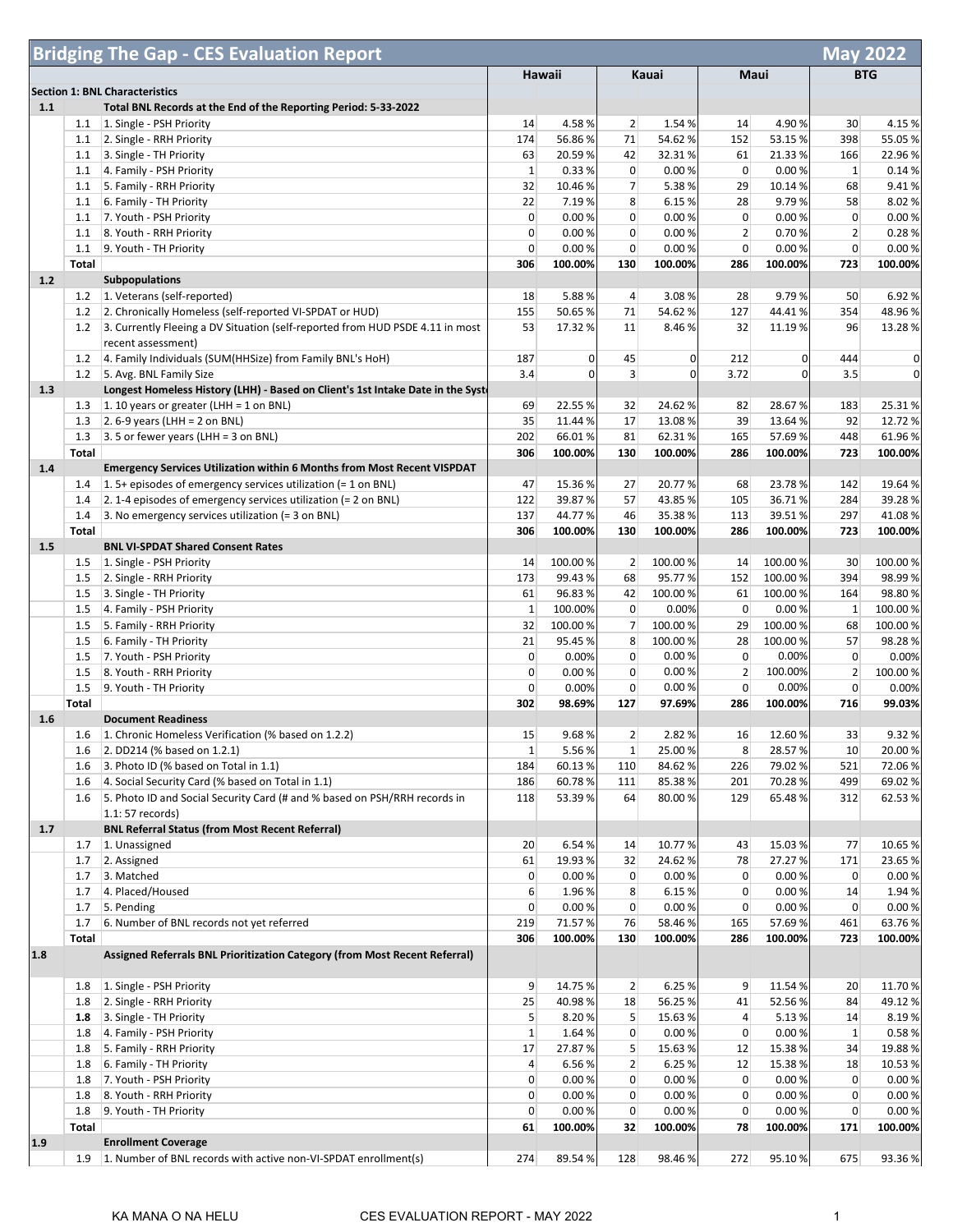|     | <b>Bridging The Gap - CES Evaluation Report</b> |                                                                                                         |                            |                    |                      | <b>May 2022</b>   |                                |                    |                       |                   |
|-----|-------------------------------------------------|---------------------------------------------------------------------------------------------------------|----------------------------|--------------------|----------------------|-------------------|--------------------------------|--------------------|-----------------------|-------------------|
|     |                                                 |                                                                                                         |                            | Hawaii             | Kauai                |                   | Maui                           |                    | <b>BTG</b>            |                   |
|     |                                                 | <b>Section 1: BNL Characteristics</b>                                                                   |                            |                    |                      |                   |                                |                    |                       |                   |
| 1.1 |                                                 | Total BNL Records at the End of the Reporting Period: 5-33-2022                                         |                            |                    |                      |                   |                                |                    |                       |                   |
|     | 1.1                                             | 1. Single - PSH Priority                                                                                | 14                         | 4.58%              | $\overline{2}$       | 1.54%             | 14                             | 4.90%              | 30 <sup>°</sup>       | 4.15%             |
|     |                                                 | 1.1 2. Single - RRH Priority                                                                            | 174                        | 56.86%             | 71                   | 54.62%            | 152                            | 53.15%             | 398                   | 55.05 %           |
|     |                                                 | 1.1 3. Single - TH Priority                                                                             | 63                         | 20.59%             | 42                   | 32.31%            | 61                             | 21.33%             | 166                   | 22.96%            |
|     | 1.1                                             | 4. Family - PSH Priority                                                                                | $\mathbf{1}$               | 0.33%              | $\overline{0}$       | 0.00%             | $\overline{0}$                 | 0.00%              | $\mathbf{1}$          | 0.14%             |
|     | 1.1                                             | 5. Family - RRH Priority                                                                                | 32                         | 10.46%             | 7                    | 5.38%             | 29                             | 10.14 %            | 68                    | 9.41%             |
|     | 1.1                                             | 6. Family - TH Priority                                                                                 | 22                         | 7.19%              | 8                    | 6.15%             | 28                             | 9.79%              | 58                    | 8.02%             |
|     | 1.1                                             | 7. Youth - PSH Priority                                                                                 | $\mathbf 0$                | 0.00%              | $\overline{0}$       | 0.00%             | $\overline{0}$                 | 0.00%              | $\overline{0}$        | 0.00%             |
|     | 1.1                                             | 8. Youth - RRH Priority                                                                                 | $\mathbf 0$<br>$\mathbf 0$ | 0.00%<br>0.00%     | $\overline{0}$<br>0  | 0.00%             | $\overline{2}$                 | 0.70%<br>0.00%     | $\overline{2}$<br>0   | 0.28%<br>0.00%    |
|     | 1.1<br>Total                                    | 9. Youth - TH Priority                                                                                  | 306                        | 100.00%            | 130                  | 0.00%<br>100.00%  | 0<br>286                       | 100.00%            | 723                   | 100.00%           |
| 1.2 |                                                 | <b>Subpopulations</b>                                                                                   |                            |                    |                      |                   |                                |                    |                       |                   |
|     | 1.2                                             | 1. Veterans (self-reported)                                                                             | 18                         | 5.88%              | 4                    | 3.08%             | 28                             | 9.79%              | 50                    | 6.92%             |
|     | 1.2                                             | 2. Chronically Homeless (self-reported VI-SPDAT or HUD)                                                 | 155                        | 50.65%             | 71                   | 54.62%            | 127                            | 44.41%             | 354                   | 48.96%            |
|     |                                                 | 1.2 3. Currently Fleeing a DV Situation (self-reported from HUD PSDE 4.11 in most<br>recent assessment) | 53                         | 17.32 %            | 11                   | 8.46%             | 32                             | 11.19%             | 96                    | 13.28%            |
|     | 1.2                                             | 4. Family Individuals (SUM(HHSize) from Family BNL's HoH)                                               | 187                        | 0                  | 45                   | $\mathbf 0$       | 212                            | 0                  | 444                   | 0                 |
|     |                                                 | 1.2 5. Avg. BNL Family Size                                                                             | 3.4                        | 0                  | $\overline{3}$       | 0                 | 3.72                           | 0                  | 3.5                   | 0                 |
| 1.3 |                                                 | Longest Homeless History (LHH) - Based on Client's 1st Intake Date in the Syst                          |                            |                    |                      |                   |                                |                    |                       |                   |
|     | 1.3                                             | 1. 10 years or greater (LHH = 1 on BNL)                                                                 | 69                         | 22.55 %            | 32                   | 24.62%            | 82                             | 28.67%             | 183                   | 25.31%            |
|     | 1.3                                             | 2. 6-9 years (LHH = $2$ on BNL)                                                                         | 35                         | 11.44 %            | 17                   | 13.08%            | 39                             | 13.64%             | 92                    | 12.72%            |
|     | 1.3                                             | $3.5$ or fewer years (LHH = 3 on BNL)                                                                   | 202                        | 66.01%             | 81                   | 62.31%            | 165                            | 57.69%             | 448                   | 61.96%            |
|     | Total                                           |                                                                                                         | 306                        | 100.00%            | 130                  | 100.00%           | 286                            | 100.00%            | 723                   | 100.00%           |
| 1.4 |                                                 | <b>Emergency Services Utilization within 6 Months from Most Recent VISPDAT</b>                          |                            |                    |                      |                   |                                |                    |                       |                   |
|     | 1.4                                             | 1. 5+ episodes of emergency services utilization (= 1 on BNL)                                           | 47                         | 15.36%             | 27                   | 20.77%            | 68                             | 23.78%             | 142                   | 19.64%            |
|     | 1.4                                             | 2. 1-4 episodes of emergency services utilization (= 2 on BNL)                                          | 122                        | 39.87%             | 57                   | 43.85%            | 105                            | 36.71%             | 284                   | 39.28%            |
|     | 1.4                                             | 3. No emergency services utilization (= 3 on BNL)                                                       | 137                        | 44.77%             | 46                   | 35.38%            | 113                            | 39.51%             | 297                   | 41.08%            |
|     | <b>Total</b>                                    |                                                                                                         | 306                        | 100.00%            | 130                  | 100.00%           | 286                            | 100.00%            | 723                   | 100.00%           |
| 1.5 |                                                 | <b>BNL VI-SPDAT Shared Consent Rates</b>                                                                |                            |                    |                      |                   |                                |                    |                       |                   |
|     | 1.5<br>1.5                                      | 1. Single - PSH Priority<br>2. Single - RRH Priority                                                    | 14<br>173                  | 100.00 %<br>99.43% | $\overline{2}$<br>68 | 100.00%<br>95.77% | 14<br>152                      | 100.00%<br>100.00% | 30<br>394             | 100.00%<br>98.99% |
|     | 1.5                                             | 3. Single - TH Priority                                                                                 | 61                         | 96.83%             | 42                   | 100.00%           | 61                             | 100.00%            | 164                   | 98.80%            |
|     | 1.5                                             | 4. Family - PSH Priority                                                                                | $\mathbf{1}$               | 100.00%            | $\overline{0}$       | 0.00%             | $\overline{0}$                 | 0.00%              | 1                     | 100.00%           |
|     | 1.5                                             | 5. Family - RRH Priority                                                                                | 32                         | 100.00%            | $\overline{7}$       | 100.00%           | 29                             | 100.00%            | 68                    | 100.00%           |
|     | 1.5                                             | 6. Family - TH Priority                                                                                 | 21                         | 95.45%             | 8                    | 100.00%           | 28                             | 100.00%            | 57                    | 98.28%            |
|     | 1.5                                             | 7. Youth - PSH Priority                                                                                 | $\mathbf 0$                | 0.00%              | $\mathbf 0$          | 0.00%             | $\overline{0}$                 | 0.00%              | $\overline{0}$        | 0.00%             |
|     | 1.5                                             | 8. Youth - RRH Priority                                                                                 | $\mathbf 0$                | 0.00%              | $\mathbf 0$          | 0.00%             | 2                              | 100.00%            | $\overline{2}$        | 100.00%           |
|     | 1.5                                             | 9. Youth - TH Priority                                                                                  | $\mathbf 0$                | 0.00%              | $\mathbf 0$          | 0.00%             | $\overline{0}$                 | 0.00%              | $\overline{0}$        | 0.00%             |
|     | Total                                           |                                                                                                         | 302                        | 98.69%             | 127                  | 97.69%            | 286                            | 100.00%            | 716                   | 99.03%            |
| 1.6 |                                                 | <b>Document Readiness</b>                                                                               |                            |                    |                      |                   |                                |                    |                       |                   |
|     |                                                 | 1.6 1. Chronic Homeless Verification (% based on 1.2.2)                                                 | 15                         | 9.68%              | $\overline{2}$       | 2.82%             | 16                             | 12.60%             | 33                    | 9.32%             |
|     | 1.6                                             | $ 2.$ DD214 (% based on 1.2.1)                                                                          | $\mathbf{1}$               | 5.56%              | 1                    | 25.00%            | 8                              | 28.57%             | 10                    | 20.00 %           |
|     | 1.6                                             | 3. Photo ID (% based on Total in 1.1)                                                                   | 184                        | 60.13%             | 110                  | 84.62%            | 226                            | 79.02%             | 521                   | 72.06%            |
|     | 1.6                                             | 4. Social Security Card (% based on Total in 1.1)                                                       | 186                        | 60.78%             | 111                  | 85.38%            | 201                            | 70.28%             | 499                   | 69.02%            |
|     | 1.6                                             | 5. Photo ID and Social Security Card (# and % based on PSH/RRH records in                               | 118                        | 53.39 %            | 64                   | 80.00%            | 129                            | 65.48%             | 312                   | 62.53%            |
|     |                                                 | 1.1: 57 records)                                                                                        |                            |                    |                      |                   |                                |                    |                       |                   |
| 1.7 |                                                 | <b>BNL Referral Status (from Most Recent Referral)</b>                                                  |                            |                    |                      |                   |                                |                    |                       |                   |
|     | 1.7                                             | 1. Unassigned<br>2. Assigned                                                                            | 20                         | 6.54 %             | 14                   | 10.77%            | 43                             | 15.03%             | 77                    | 10.65 %           |
|     | 1.7                                             | 3. Matched                                                                                              | 61<br>$\mathbf 0$          | 19.93 %<br>0.00%   | 32<br>$\overline{0}$ | 24.62%<br>0.00%   | 78<br>$\overline{0}$           | 27.27%<br>0.00%    | 171<br>$\overline{0}$ | 23.65%<br>0.00%   |
|     | 1.7<br>1.7                                      | 4. Placed/Housed                                                                                        | 6                          | 1.96 %             | 8                    | 6.15%             | $\mathbf{0}$                   | 0.00%              | 14                    | 1.94%             |
|     | 1.7                                             | 5. Pending                                                                                              | $\mathbf 0$                | 0.00%              | $\overline{0}$       | 0.00%             | $\overline{0}$                 | 0.00%              | 0                     | 0.00%             |
|     | 1.7                                             | 6. Number of BNL records not yet referred                                                               | 219                        | 71.57%             | 76                   | 58.46%            | 165                            | 57.69%             | 461                   | 63.76%            |
|     | Total                                           |                                                                                                         | 306                        | 100.00%            | 130                  | 100.00%           | 286                            | 100.00%            | 723                   | 100.00%           |
| 1.8 |                                                 | Assigned Referrals BNL Prioritization Category (from Most Recent Referral)                              |                            |                    |                      |                   |                                |                    |                       |                   |
|     |                                                 |                                                                                                         |                            |                    |                      |                   |                                |                    |                       |                   |
|     | 1.8                                             | 1. Single - PSH Priority                                                                                | $\overline{9}$             | 14.75 %            | $\overline{2}$       | 6.25%             | 9                              | 11.54 %            | 20                    | 11.70%            |
|     |                                                 | 1.8 2. Single - RRH Priority                                                                            | 25<br>5 <sup>5</sup>       | 40.98%             | 18                   | 56.25%            | 41                             | 52.56%             | 84                    | 49.12%            |
|     | 1.8                                             | 1.8 3. Single - TH Priority<br>4. Family - PSH Priority                                                 | $\mathbf{1}$               | 8.20%<br>1.64 %    | 5<br>0               | 15.63%<br>0.00%   | $\overline{4}$<br>$\mathbf{0}$ | 5.13%<br>0.00%     | 14<br>$\mathbf{1}$    | 8.19%<br>0.58%    |
|     | 1.8                                             | 5. Family - RRH Priority                                                                                | 17                         | 27.87%             | 5                    | 15.63%            | 12                             | 15.38%             | 34                    | 19.88%            |
|     | 1.8                                             | 6. Family - TH Priority                                                                                 | $\overline{4}$             | 6.56%              | 2                    | 6.25%             | 12                             | 15.38%             | 18                    | 10.53%            |
|     | 1.8                                             | 7. Youth - PSH Priority                                                                                 | 0                          | 0.00%              | $\overline{0}$       | 0.00%             | $\overline{0}$                 | 0.00%              | $\overline{0}$        | 0.00%             |
|     | 1.8                                             | 8. Youth - RRH Priority                                                                                 | $\overline{0}$             | 0.00%              | $\overline{0}$       | 0.00%             | $\overline{0}$                 | 0.00%              | $\mathbf{0}$          | 0.00%             |
|     | 1.8                                             | 9. Youth - TH Priority                                                                                  | $\mathbf 0$                | 0.00%              | $\mathbf{0}$         | 0.00%             | 0                              | 0.00%              | 0                     | 0.00%             |
|     | Total                                           |                                                                                                         | 61                         | 100.00%            | 32                   | 100.00%           | 78                             | 100.00%            | 171                   | 100.00%           |
| 1.9 |                                                 | <b>Enrollment Coverage</b>                                                                              |                            |                    |                      |                   |                                |                    |                       |                   |
|     | 1.9                                             | 1. Number of BNL records with active non-VI-SPDAT enrollment(s)                                         | 274                        | 89.54%             | 128                  | 98.46%            | 272                            | 95.10%             | 675                   | 93.36%            |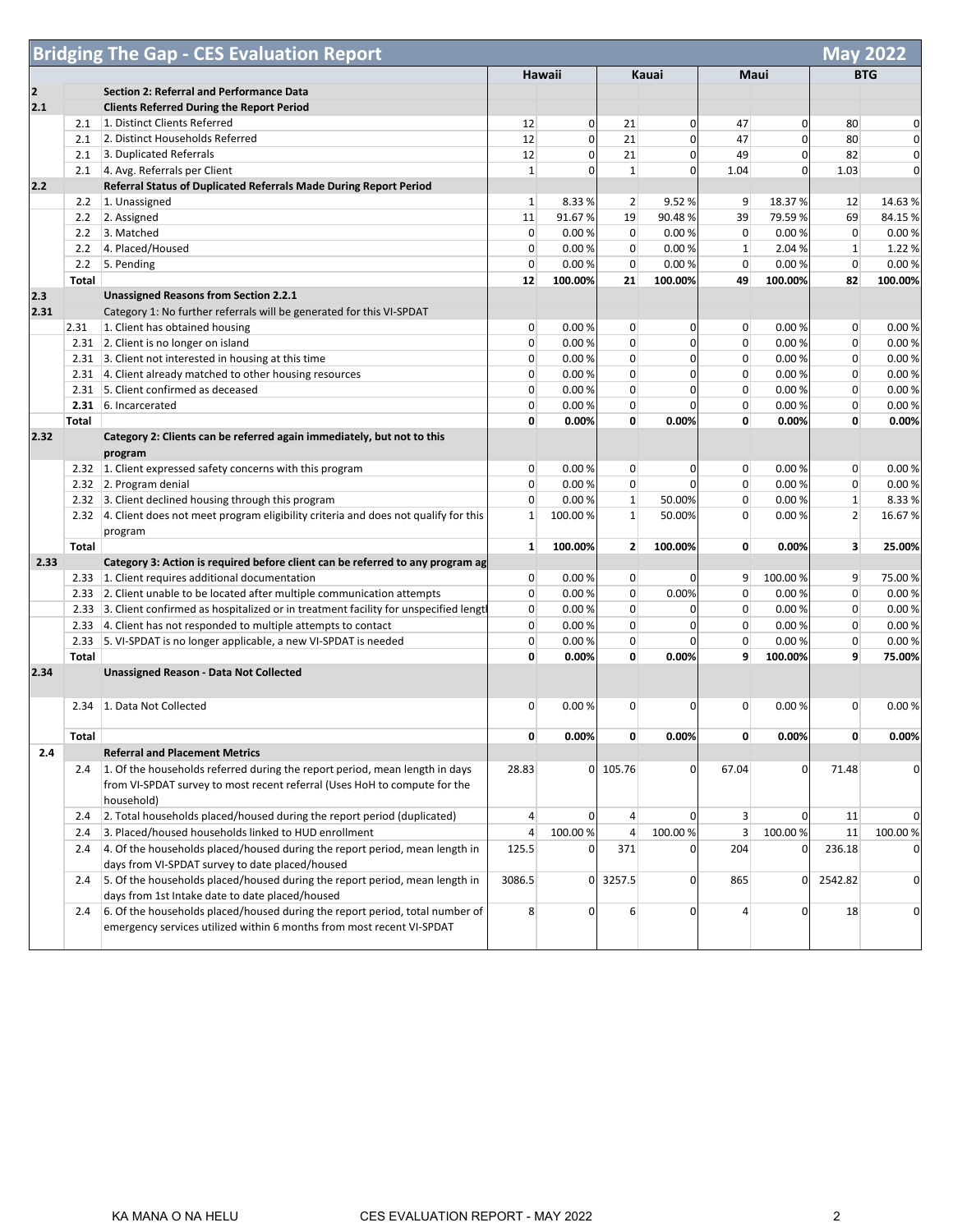| <b>Bridging The Gap - CES Evaluation Report</b> |       |                                                                                         |                |             |                |             |                | <b>May 2022</b> |                |                |  |
|-------------------------------------------------|-------|-----------------------------------------------------------------------------------------|----------------|-------------|----------------|-------------|----------------|-----------------|----------------|----------------|--|
|                                                 |       |                                                                                         | Hawaii         |             | Kauai          |             |                | Maui            |                | <b>BTG</b>     |  |
| $\overline{2}$                                  |       | <b>Section 2: Referral and Performance Data</b>                                         |                |             |                |             |                |                 |                |                |  |
| 2.1                                             |       | <b>Clients Referred During the Report Period</b>                                        |                |             |                |             |                |                 |                |                |  |
|                                                 | 2.1   | 1. Distinct Clients Referred                                                            | 12             | 0           | 21             | 0           | 47             | 0               | 80             | 0              |  |
|                                                 | 2.1   | 2. Distinct Households Referred                                                         | 12             | $\mathbf 0$ | 21             | 0           | 47             | $\mathbf{0}$    | 80             | $\mathbf 0$    |  |
|                                                 | 2.1   | 3. Duplicated Referrals                                                                 | 12             | $\mathbf 0$ | 21             | 0           | 49             | $\mathbf{0}$    | 82             | $\pmb{0}$      |  |
|                                                 |       | 2.1 4. Avg. Referrals per Client                                                        | $\mathbf{1}$   | $\mathbf 0$ | $\mathbf{1}$   | 0           | 1.04           | $\mathbf{0}$    | 1.03           | $\mathbf 0$    |  |
| 2.2                                             |       | Referral Status of Duplicated Referrals Made During Report Period                       |                |             |                |             |                |                 |                |                |  |
|                                                 | 2.2   | 1. Unassigned                                                                           | $\mathbf{1}$   | 8.33 %      | $\overline{2}$ | 9.52%       | 9              | 18.37%          | 12             | 14.63%         |  |
|                                                 | 2.2   | 2. Assigned                                                                             | 11             | 91.67%      | 19             | 90.48%      | 39             | 79.59%          | 69             | 84.15%         |  |
|                                                 | 2.2   | 3. Matched                                                                              | $\mathbf{0}$   | 0.00%       | $\mathbf 0$    | 0.00%       | $\overline{0}$ | 0.00%           | $\overline{0}$ | 0.00%          |  |
|                                                 | 2.2   | 4. Placed/Housed                                                                        | 0              | 0.00%       | $\mathbf 0$    | 0.00%       | $\mathbf{1}$   | 2.04%           | 1              | 1.22%          |  |
|                                                 | 2.2   | 5. Pending                                                                              | $\mathbf{0}$   | 0.00%       | $\mathbf{0}$   | 0.00%       | $\mathbf{0}$   | 0.00%           | $\mathbf{0}$   | 0.00%          |  |
|                                                 | Total |                                                                                         | 12             | 100.00%     | 21             | 100.00%     | 49             | 100.00%         | 82             | 100.00%        |  |
| 2.3                                             |       | <b>Unassigned Reasons from Section 2.2.1</b>                                            |                |             |                |             |                |                 |                |                |  |
| 2.31                                            |       | Category 1: No further referrals will be generated for this VI-SPDAT                    |                |             |                |             |                |                 |                |                |  |
|                                                 | 2.31  | 1. Client has obtained housing                                                          | $\mathbf{0}$   | 0.00%       | $\mathbf 0$    | 0           | $\overline{0}$ | 0.00%           | $\overline{0}$ | 0.00%          |  |
|                                                 |       | 2.31 2. Client is no longer on island                                                   | 0              | 0.00%       | $\pmb{0}$      | 0           | $\mathbf 0$    | 0.00%           | $\overline{0}$ | 0.00%          |  |
|                                                 |       | 2.31 3. Client not interested in housing at this time                                   | 0              | 0.00%       | $\mathbf 0$    | 0           | 0              | 0.00%           | $\overline{0}$ | 0.00%          |  |
|                                                 |       | 2.31 4. Client already matched to other housing resources                               | 0              | 0.00%       | $\overline{0}$ | $\mathbf 0$ | $\mathbf{0}$   | 0.00%           | $\mathbf 0$    | 0.00%          |  |
|                                                 |       | 2.31 5. Client confirmed as deceased                                                    | 0              | 0.00%       | $\pmb{0}$      | 0           | $\mathbf 0$    | 0.00%           | $\overline{0}$ | 0.00%          |  |
|                                                 |       | 2.31 6. Incarcerated                                                                    | $\mathbf{0}$   | 0.00%       | $\pmb{0}$      | $\Omega$    | $\mathbf{0}$   | 0.00%           | $\mathbf{0}$   | 0.00%          |  |
|                                                 | Total |                                                                                         | 0              | 0.00%       | $\mathbf 0$    | 0.00%       | $\mathbf 0$    | 0.00%           | $\mathbf{0}$   | 0.00%          |  |
| 2.32                                            |       | Category 2: Clients can be referred again immediately, but not to this                  |                |             |                |             |                |                 |                |                |  |
|                                                 |       | program                                                                                 |                |             |                |             |                |                 |                |                |  |
|                                                 |       | 2.32 1. Client expressed safety concerns with this program                              | 0              | 0.00%       | $\mathbf 0$    | 0           | $\mathbf 0$    | 0.00%           | $\overline{0}$ | 0.00%          |  |
|                                                 |       | 2.32 2. Program denial                                                                  | $\mathbf{0}$   | 0.00%       | $\mathbf{0}$   | $\Omega$    | $\mathbf{0}$   | 0.00%           | $\overline{0}$ | 0.00%          |  |
|                                                 |       | 2.32 3. Client declined housing through this program                                    | $\mathbf{0}$   | 0.00%       | $\mathbf{1}$   | 50.00%      | $\mathbf 0$    | 0.00%           | $\mathbf{1}$   | 8.33%          |  |
|                                                 |       | 2.32 4. Client does not meet program eligibility criteria and does not qualify for this | $\mathbf{1}$   | 100.00%     | $\mathbf{1}$   | 50.00%      | $\overline{0}$ | 0.00%           | $\overline{2}$ | 16.67%         |  |
|                                                 |       | program                                                                                 |                |             |                |             |                |                 |                |                |  |
|                                                 | Total |                                                                                         | $\mathbf{1}$   | 100.00%     | $\overline{2}$ | 100.00%     | $\mathbf{0}$   | 0.00%           | $\mathbf{3}$   | 25.00%         |  |
| 2.33                                            |       | Category 3: Action is required before client can be referred to any program ag          |                |             |                |             |                |                 |                |                |  |
|                                                 |       | 2.33 1. Client requires additional documentation                                        | $\overline{0}$ | 0.00%       | 0              | 0           | 9              | 100.00%         | 9              | 75.00 %        |  |
|                                                 | 2.33  | 2. Client unable to be located after multiple communication attempts                    | 0              | 0.00%       | $\mathbf 0$    | 0.00%       | $\mathbf{0}$   | 0.00%           | $\overline{0}$ | 0.00%          |  |
|                                                 |       | 2.33 3. Client confirmed as hospitalized or in treatment facility for unspecified lengt | $\mathbf{0}$   | 0.00%       | $\mathbf{0}$   | 0           | $\overline{0}$ | 0.00%           | $\mathbf{0}$   | 0.00%          |  |
|                                                 |       | 2.33 4. Client has not responded to multiple attempts to contact                        | 0              | 0.00%       | $\mathbf 0$    | $\Omega$    | $\mathbf 0$    | 0.00%           | $\mathbf{0}$   | 0.00%          |  |
|                                                 | 2.33  | 5. VI-SPDAT is no longer applicable, a new VI-SPDAT is needed                           | 0              | 0.00%       | $\pmb{0}$      | $\Omega$    | $\mathbf{0}$   | 0.00%           | $\mathbf 0$    | 0.00%          |  |
|                                                 | Total |                                                                                         | 0              | 0.00%       | $\mathbf{0}$   | 0.00%       | 9              | 100.00%         | 9              | 75.00%         |  |
| 2.34                                            |       | <b>Unassigned Reason - Data Not Collected</b>                                           |                |             |                |             |                |                 |                |                |  |
|                                                 |       |                                                                                         |                |             |                |             |                |                 |                |                |  |
|                                                 | 2.34  | 1. Data Not Collected                                                                   | 0              | 0.00%       | 0              | 0           | $\overline{0}$ | 0.00%           | $\mathbf{0}$   | 0.00%          |  |
|                                                 |       |                                                                                         |                |             |                |             |                |                 |                |                |  |
|                                                 | Total |                                                                                         | 0              | 0.00%       | 0              | 0.00%       | 0              | 0.00%           |                | 0.00%          |  |
| 2.4                                             |       | <b>Referral and Placement Metrics</b>                                                   |                |             |                |             |                |                 |                |                |  |
|                                                 | 2.4   | 1. Of the households referred during the report period, mean length in days             | 28.83          | 0           | 105.76         | 0           | 67.04          | 0               | 71.48          | 0              |  |
|                                                 |       | from VI-SPDAT survey to most recent referral (Uses HoH to compute for the               |                |             |                |             |                |                 |                |                |  |
|                                                 |       | household)                                                                              |                |             |                |             |                |                 |                |                |  |
|                                                 |       | 2. Total households placed/housed during the report period (duplicated)                 |                | 0           |                | 0           |                | $\mathbf{0}$    | 11             | 0              |  |
|                                                 | 2.4   |                                                                                         | 4              |             | 4              |             | 3              |                 |                |                |  |
|                                                 | 2.4   | 3. Placed/housed households linked to HUD enrollment                                    | $\overline{4}$ | 100.00%     | 4              | 100.00%     | 3              | 100.00%         | 11             | 100.00%        |  |
|                                                 | 2.4   | 4. Of the households placed/housed during the report period, mean length in             | 125.5          | 0           | 371            | 0           | 204            | 0               | 236.18         | 0              |  |
|                                                 |       | days from VI-SPDAT survey to date placed/housed                                         |                |             |                |             |                |                 |                |                |  |
|                                                 | 2.4   | 5. Of the households placed/housed during the report period, mean length in             | 3086.5         | 0           | 3257.5         | 0           | 865            | $\mathbf 0$     | 2542.82        | $\overline{0}$ |  |
|                                                 |       | days from 1st Intake date to date placed/housed                                         |                |             |                |             |                |                 |                |                |  |
|                                                 | 2.4   | 6. Of the households placed/housed during the report period, total number of            | 8              | 0           | 6              | 0           | 4              | 0               | 18             | $\mathbf 0$    |  |
|                                                 |       | emergency services utilized within 6 months from most recent VI-SPDAT                   |                |             |                |             |                |                 |                |                |  |
|                                                 |       |                                                                                         |                |             |                |             |                |                 |                |                |  |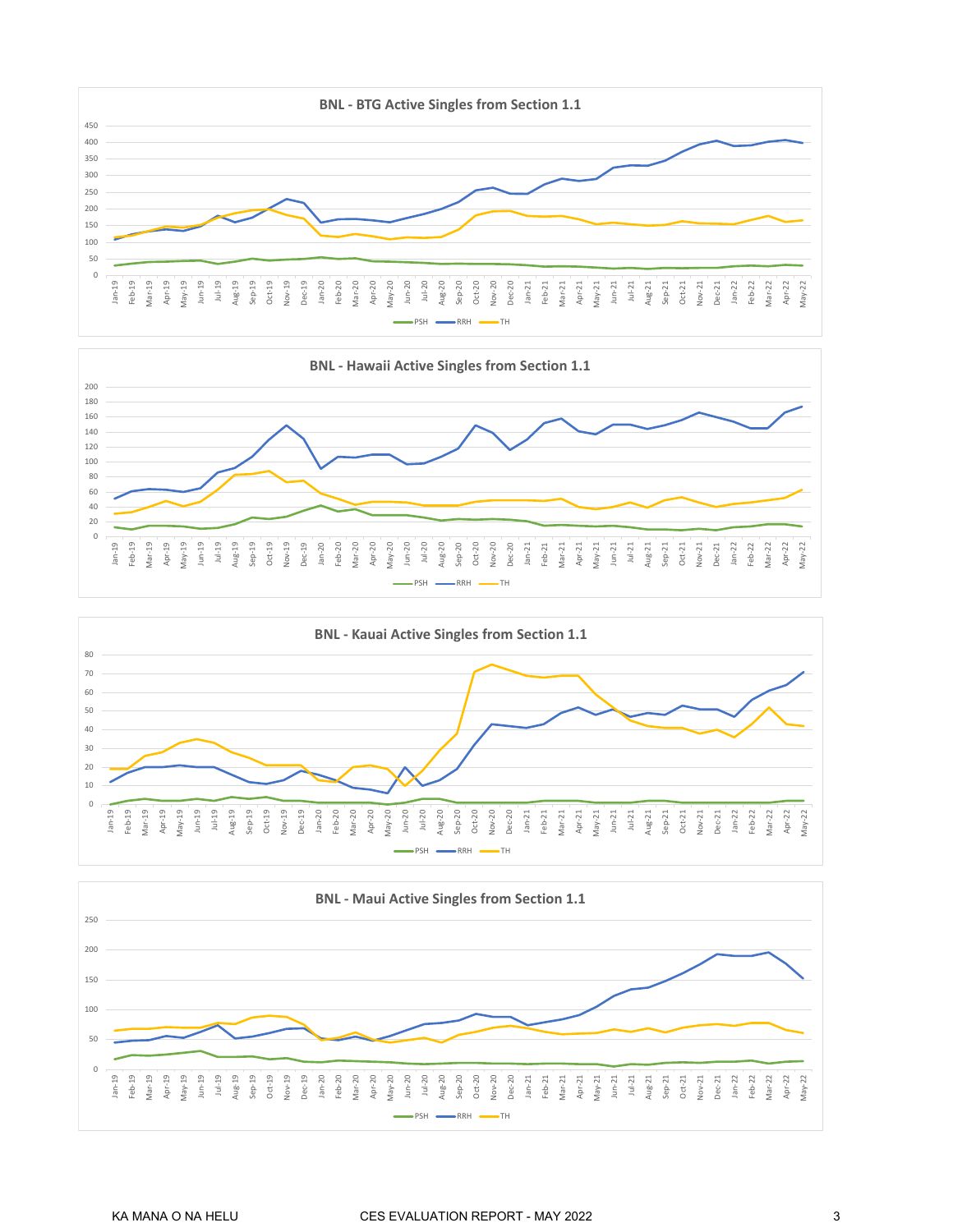





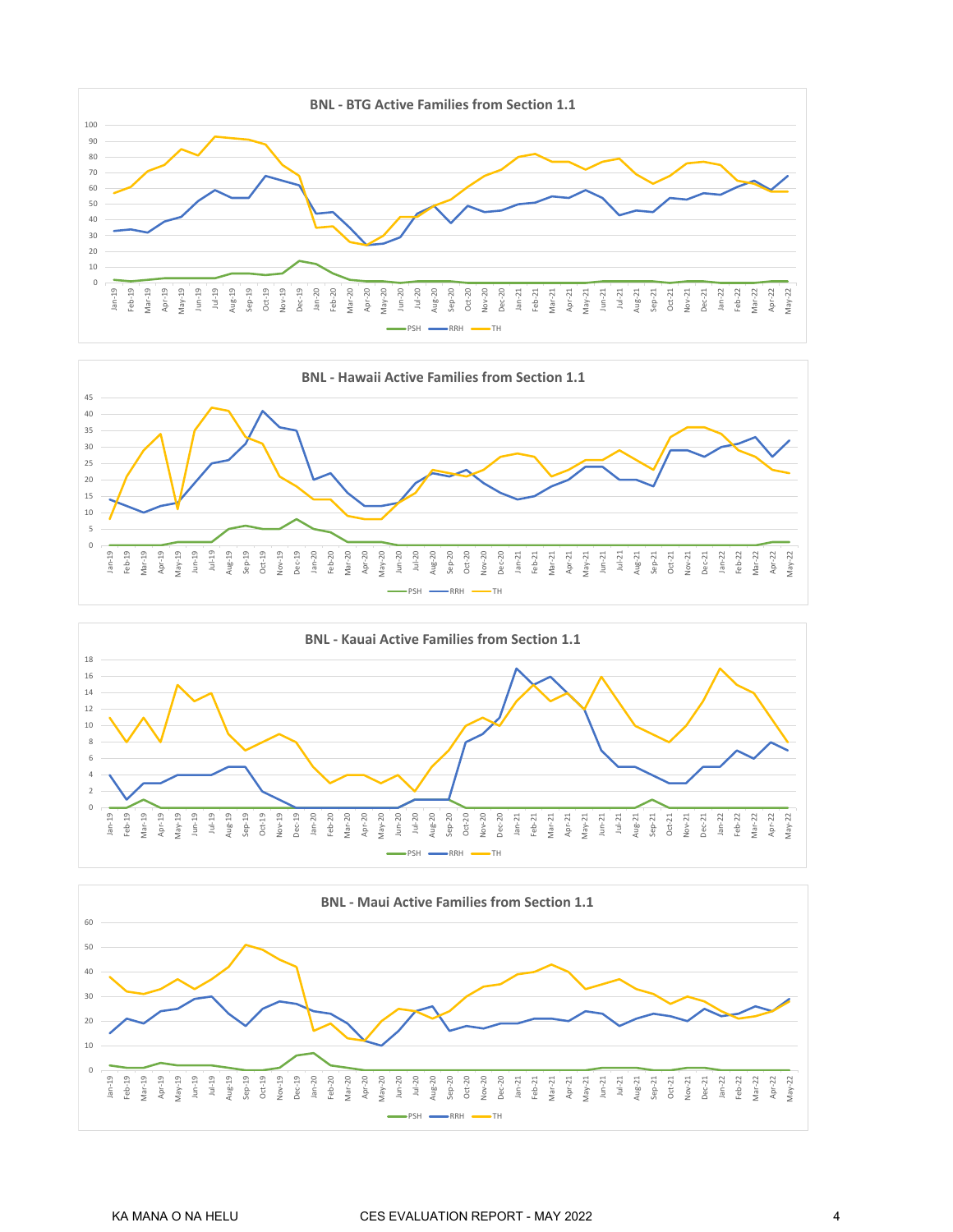